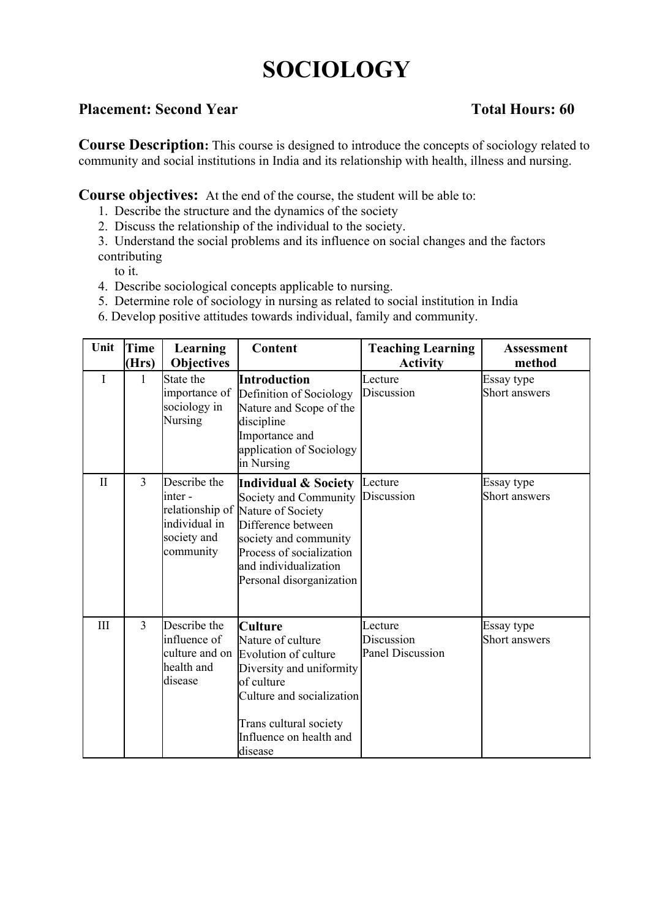# **SOCIOLOGY**

# **Placement: Second Year Total Hours: 60**

**Course Description:** This course is designed to introduce the concepts of sociology related to community and social institutions in India and its relationship with health, illness and nursing.

**Course objectives:** At the end of the course, the student will be able to:

- 1. Describe the structure and the dynamics of the society
- 2. Discuss the relationship of the individual to the society.

3. Understand the social problems and its influence on social changes and the factors contributing

to it.

- 4. Describe sociological concepts applicable to nursing.
- 5. Determine role of sociology in nursing as related to social institution in India
- 6. Develop positive attitudes towards individual, family and community.

| Unit         | Time<br>(Hrs)  | Learning<br><b>Objectives</b>                                           | Content                                                                                                                                                                                                                       | <b>Teaching Learning</b><br><b>Activity</b>      | <b>Assessment</b><br>method |
|--------------|----------------|-------------------------------------------------------------------------|-------------------------------------------------------------------------------------------------------------------------------------------------------------------------------------------------------------------------------|--------------------------------------------------|-----------------------------|
| I            | 1              | State the<br>importance of<br>sociology in<br>Nursing                   | Introduction<br>Definition of Sociology<br>Nature and Scope of the<br>discipline<br>Importance and<br>application of Sociology<br>in Nursing                                                                                  | Lecture<br>Discussion                            | Essay type<br>Short answers |
| $\mathbf{I}$ | 3              | Describe the<br>linter -<br>individual in<br>society and<br>community   | <b>Individual &amp; Society</b><br>Society and Community<br>relationship of Nature of Society<br>Difference between<br>society and community<br>Process of socialization<br>and individualization<br>Personal disorganization | Lecture<br>Discussion                            | Essay type<br>Short answers |
| III          | $\overline{3}$ | Describe the<br>influence of<br>culture and on<br>health and<br>disease | Culture<br>Nature of culture<br>Evolution of culture<br>Diversity and uniformity<br>of culture<br>Culture and socialization<br>Trans cultural society<br>Influence on health and<br>disease                                   | Lecture<br>Discussion<br><b>Panel Discussion</b> | Essay type<br>Short answers |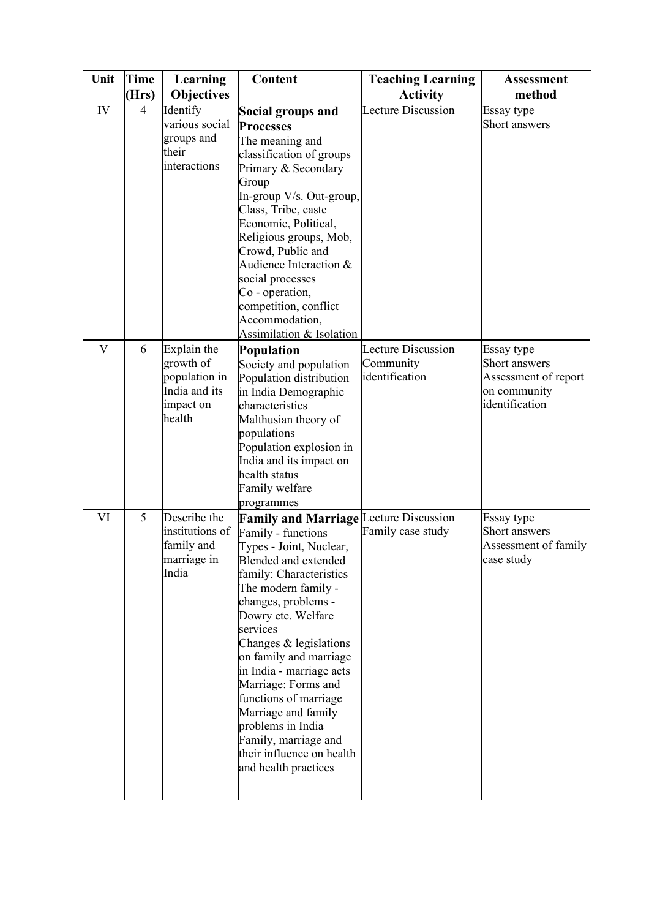| Unit                    | Time<br>(Hrs)  | Learning<br><b>Objectives</b>                                                     | Content                                                                                                                                                                                                                                                                                                                                                                                                                                                                                    | <b>Teaching Learning</b><br><b>Activity</b>              | <b>Assessment</b><br>method                                                           |
|-------------------------|----------------|-----------------------------------------------------------------------------------|--------------------------------------------------------------------------------------------------------------------------------------------------------------------------------------------------------------------------------------------------------------------------------------------------------------------------------------------------------------------------------------------------------------------------------------------------------------------------------------------|----------------------------------------------------------|---------------------------------------------------------------------------------------|
| IV                      | $\overline{4}$ | Identify<br>various social<br>groups and<br>their<br>interactions                 | Social groups and<br><b>Processes</b><br>The meaning and<br>classification of groups<br>Primary & Secondary<br>Group<br>In-group V/s. Out-group,<br>Class, Tribe, caste<br>Economic, Political,<br>Religious groups, Mob,<br>Crowd, Public and<br>Audience Interaction &<br>social processes<br>Co - operation,<br>competition, conflict<br>Accommodation,<br>Assimilation & Isolation                                                                                                     | <b>Lecture Discussion</b>                                | Essay type<br>Short answers                                                           |
| $\overline{\mathbf{V}}$ | 6              | Explain the<br>growth of<br>population in<br>India and its<br>impact on<br>health | <b>Population</b><br>Society and population<br>Population distribution<br>in India Demographic<br>characteristics<br>Malthusian theory of<br>populations<br>Population explosion in<br>India and its impact on<br>health status<br>Family welfare<br>programmes                                                                                                                                                                                                                            | <b>Lecture Discussion</b><br>Community<br>identification | Essay type<br>Short answers<br>Assessment of report<br>on community<br>identification |
| VI                      | 5              | Describe the<br>institutions of<br>family and<br>marriage in<br>India             | <b>Family and Marriage Lecture Discussion</b><br>Family - functions<br>Types - Joint, Nuclear,<br>Blended and extended<br>family: Characteristics<br>The modern family -<br>changes, problems -<br>Dowry etc. Welfare<br>services<br>Changes & legislations<br>on family and marriage<br>in India - marriage acts<br>Marriage: Forms and<br>functions of marriage<br>Marriage and family<br>problems in India<br>Family, marriage and<br>their influence on health<br>and health practices | Family case study                                        | Essay type<br>Short answers<br>Assessment of family<br>case study                     |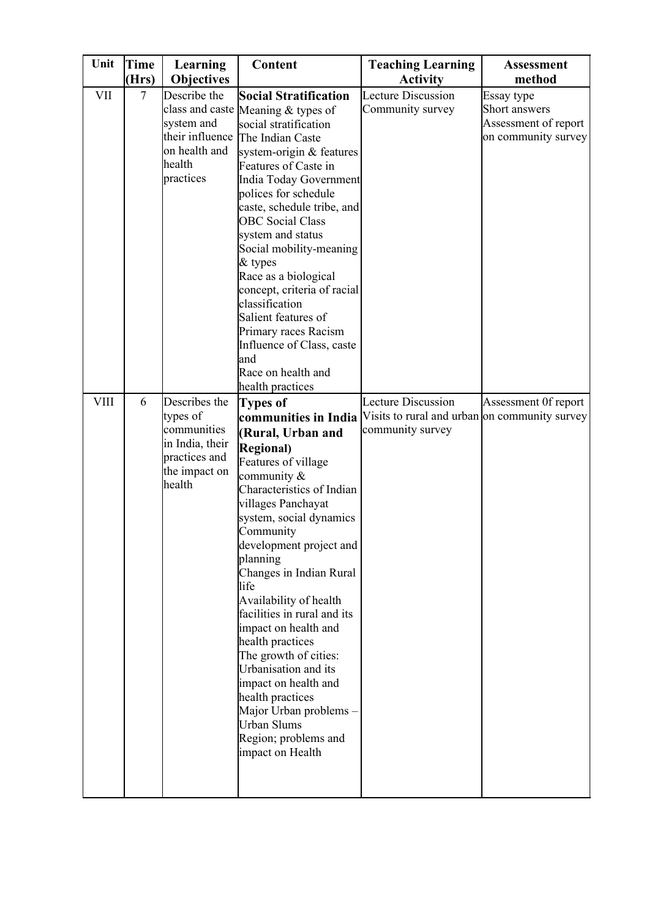| Unit        | <b>Time</b>    | Learning                                                                                                | Content                                                                                                                                                                                                                                                                                                                                                                                                                                                                                                                                                                                      | <b>Teaching Learning</b>                                                                       | <b>Assessment</b>                                                          |
|-------------|----------------|---------------------------------------------------------------------------------------------------------|----------------------------------------------------------------------------------------------------------------------------------------------------------------------------------------------------------------------------------------------------------------------------------------------------------------------------------------------------------------------------------------------------------------------------------------------------------------------------------------------------------------------------------------------------------------------------------------------|------------------------------------------------------------------------------------------------|----------------------------------------------------------------------------|
|             | (Hrs)          | <b>Objectives</b>                                                                                       |                                                                                                                                                                                                                                                                                                                                                                                                                                                                                                                                                                                              | <b>Activity</b>                                                                                | method                                                                     |
| VII         | $\overline{7}$ | Describe the<br>system and<br>their influence<br>on health and<br>health<br>practices                   | <b>Social Stratification</b><br>class and caste Meaning & types of<br>social stratification<br>The Indian Caste<br>system-origin & features<br>Features of Caste in<br>India Today Government<br>polices for schedule<br>caste, schedule tribe, and<br><b>OBC</b> Social Class<br>system and status<br>Social mobility-meaning<br>$&$ types<br>Race as a biological<br>concept, criteria of racial<br>classification<br>Salient features of<br>Primary races Racism<br>Influence of Class, caste<br>and<br>Race on health and<br>health practices                                            | <b>Lecture Discussion</b><br>Community survey                                                  | Essay type<br>Short answers<br>Assessment of report<br>on community survey |
| <b>VIII</b> | 6              | Describes the<br>types of<br>communities<br>in India, their<br>practices and<br>the impact on<br>health | <b>Types of</b><br>communities in India<br>(Rural, Urban and<br><b>Regional</b> )<br>Features of village<br>community $\&$<br>Characteristics of Indian<br>villages Panchayat<br>system, social dynamics<br>Community<br>development project and<br>planning<br>Changes in Indian Rural<br>life<br>Availability of health<br>facilities in rural and its<br>impact on health and<br>health practices<br>The growth of cities:<br>Urbanisation and its<br>impact on health and<br>health practices<br>Major Urban problems-<br><b>Urban Slums</b><br>Region; problems and<br>impact on Health | <b>Lecture Discussion</b><br>Visits to rural and urban on community survey<br>community survey | Assessment Of report                                                       |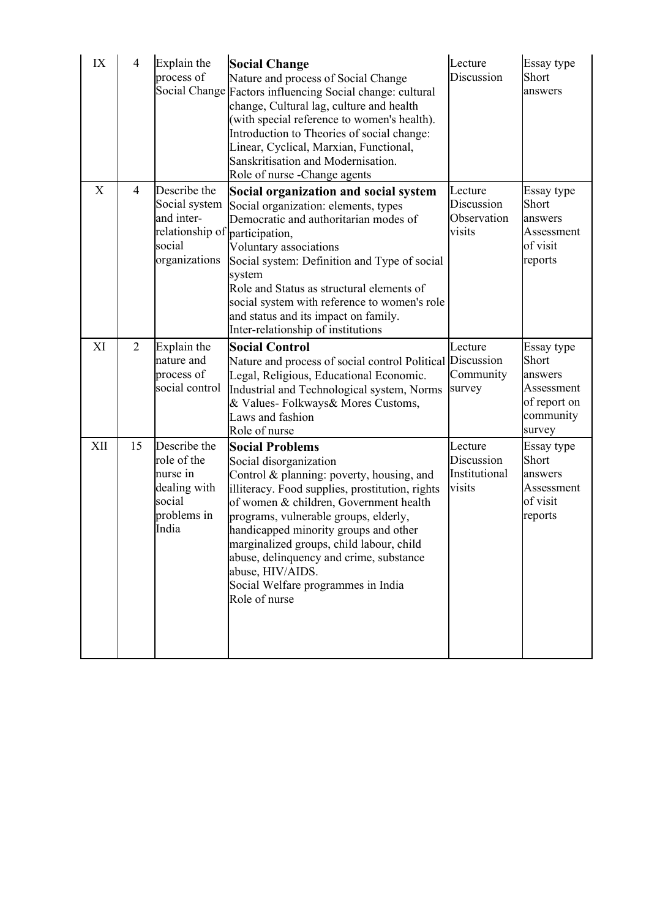| IX  | $\overline{4}$ | Explain the<br>process of                                                                 | <b>Social Change</b><br>Nature and process of Social Change<br>Social Change Factors influencing Social change: cultural<br>change, Cultural lag, culture and health<br>(with special reference to women's health).<br>Introduction to Theories of social change:<br>Linear, Cyclical, Marxian, Functional,<br>Sanskritisation and Modernisation.<br>Role of nurse -Change agents                                                              | Lecture<br>Discussion                            | Essay type<br>Short<br>answers                                                      |
|-----|----------------|-------------------------------------------------------------------------------------------|------------------------------------------------------------------------------------------------------------------------------------------------------------------------------------------------------------------------------------------------------------------------------------------------------------------------------------------------------------------------------------------------------------------------------------------------|--------------------------------------------------|-------------------------------------------------------------------------------------|
| X   | $\overline{4}$ | Describe the<br>Social system<br>and inter-<br>relationship of<br>social<br>organizations | Social organization and social system<br>Social organization: elements, types<br>Democratic and authoritarian modes of<br>participation,<br>Voluntary associations<br>Social system: Definition and Type of social<br>system<br>Role and Status as structural elements of<br>social system with reference to women's role<br>and status and its impact on family.<br>Inter-relationship of institutions                                        | Lecture<br>Discussion<br>Observation<br>visits   | Essay type<br>Short<br>answers<br>Assessment<br>of visit<br>reports                 |
| XI  | $\overline{2}$ | Explain the<br>nature and<br>process of<br>social control                                 | <b>Social Control</b><br>Nature and process of social control Political Discussion<br>Legal, Religious, Educational Economic.<br>Industrial and Technological system, Norms<br>& Values-Folkways& Mores Customs,<br>Laws and fashion<br>Role of nurse                                                                                                                                                                                          | Lecture<br>Community<br>survey                   | Essay type<br>Short<br>answers<br>Assessment<br>of report on<br>community<br>survey |
| XII | 15             | Describe the<br>role of the<br>nurse in<br>dealing with<br>social<br>problems in<br>India | <b>Social Problems</b><br>Social disorganization<br>Control & planning: poverty, housing, and<br>illiteracy. Food supplies, prostitution, rights<br>of women & children, Government health<br>programs, vulnerable groups, elderly,<br>handicapped minority groups and other<br>marginalized groups, child labour, child<br>abuse, delinquency and crime, substance<br>abuse, HIV/AIDS.<br>Social Welfare programmes in India<br>Role of nurse | Lecture<br>Discussion<br>Institutional<br>visits | Essay type<br>Short<br>answers<br>Assessment<br>of visit<br>reports                 |